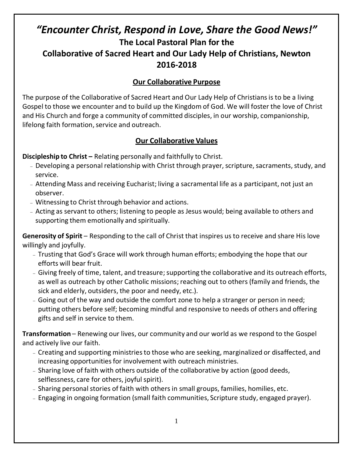# *"Encounter Christ, Respond in Love, Share the Good News!"* **The Local Pastoral Plan for the Collaborative of Sacred Heart and Our Lady Help of Christians, Newton 2016-2018**

## **Our Collaborative Purpose**

The purpose of the Collaborative of Sacred Heart and Our Lady Help of Christiansis to be a living Gospel to those we encounter and to build up the Kingdom of God. We will foster the love of Christ and His Church and forge a community of committed disciples, in our worship, companionship, lifelong faith formation, service and outreach.

### **Our Collaborative Values**

**Discipleship to Christ –** Relating personally and faithfully to Christ.

- Developing a personal relationship with Christ through prayer, scripture, sacraments, study, and service.
- Attending Mass and receiving Eucharist; living a sacramental life as a participant, not just an observer.
- Witnessing to Christ through behavior and actions.
- Acting as servant to others; listening to people as Jesus would; being available to others and supporting them emotionally and spiritually.

**Generosity of Spirit** – Responding to the call of Christ that inspires us to receive and share His love willingly and joyfully.

- Trusting that God's Grace will work through human efforts; embodying the hope that our efforts will bear fruit.
- Giving freely of time, talent, and treasure; supporting the collaborative and its outreach efforts, as well as outreach by other Catholic missions; reaching out to others (family and friends, the sick and elderly, outsiders, the poor and needy, etc.).
- Going out of the way and outside the comfort zone to help a stranger or person in need; putting others before self; becoming mindful and responsive to needs of others and offering gifts and self in service to them.

**Transformation** – Renewing our lives, our community and our world as we respond to the Gospel and actively live our faith.

- Creating and supporting ministriesto those who are seeking, marginalized or disaffected, and increasing opportunities for involvement with outreach ministries.
- Sharing love of faith with others outside of the collaborative by action (good deeds, selflessness, care for others, joyful spirit).
- Sharing personal stories of faith with others in small groups, families, homilies, etc.
- Engaging in ongoing formation (small faith communities, Scripture study, engaged prayer).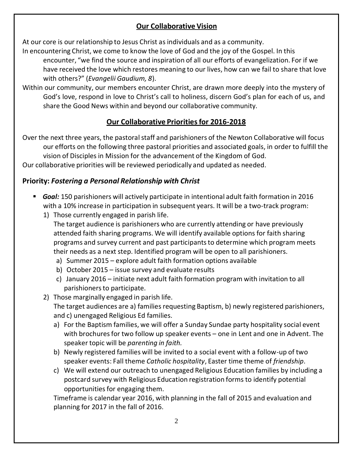## **Our Collaborative Vision**

At our core is our relationship to Jesus Christ as individuals and as a community.

In encountering Christ, we come to know the love of God and the joy of the Gospel. In this encounter, "we find the source and inspiration of all our efforts of evangelization. For if we have received the love which restores meaning to our lives, how can we fail to share that love with others?" (*Evangelii Gaudium, 8*).

Within our community, our members encounter Christ, are drawn more deeply into the mystery of God's love, respond in love to Christ's call to holiness, discern God's plan for each of us, and share the Good News within and beyond our collaborative community.

## **Our Collaborative Priorities for 2016-2018**

Over the next three years, the pastoral staff and parishioners of the Newton Collaborative will focus our efforts on the following three pastoral priorities and associated goals, in order to fulfill the vision of Disciples in Mission for the advancement of the Kingdom of God. Our collaborative priorities will be reviewed periodically and updated as needed.

## **Priority:** *Fostering a Personal Relationship with Christ*

- *Goal:* 150 parishioners will actively participate in intentional adult faith formation in 2016 with a 10% increase in participation in subsequent years. It will be a two-track program:
	- 1) Those currently engaged in parish life. The target audience is parishioners who are currently attending or have previously attended faith sharing programs. We will identify available options for faith sharing programs and survey current and past participants to determine which program meets their needs as a next step. Identified program will be open to all parishioners.
		- a) Summer 2015 explore adult faith formation options available
		- b) October 2015 issue survey and evaluate results
		- c) January 2016 initiate next adult faith formation program with invitation to all parishionersto participate.
	- 2) Those marginally engaged in parish life.

The target audiences are a) families requesting Baptism, b) newly registered parishioners, and c) unengaged Religious Ed families.

- a) For the Baptism families, we will offer a Sunday Sundae party hospitality social event with brochures for two follow up speaker events – one in Lent and one in Advent. The speaker topic will be *parenting in faith.*
- b) Newly registered families will be invited to a social event with a follow-up of two speaker events: Fall theme *Catholic hospitality*, Easter time theme of *friendship*.
- c) We will extend our outreach to unengaged Religious Education families by including a postcard survey with Religious Education registration forms to identify potential opportunities for engaging them.

Timeframe is calendar year 2016, with planning in the fall of 2015 and evaluation and planning for 2017 in the fall of 2016.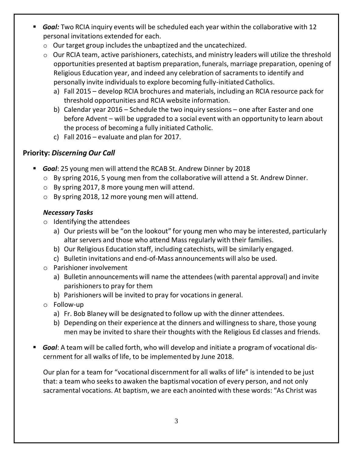- *Goal:* Two RCIA inquiry events will be scheduled each year within the collaborative with 12 personal invitations extended for each.
	- $\circ$  Our target group includes the unbaptized and the uncatechized.
	- o Our RCIA team, active parishioners, catechists, and ministry leaders will utilize the threshold opportunities presented at baptism preparation, funerals, marriage preparation, opening of Religious Education year, and indeed any celebration of sacramentsto identify and personally invite individualsto explore becoming fully-initiated Catholics.
		- a) Fall 2015 develop RCIA brochures and materials, including an RCIA resource pack for threshold opportunities and RCIA website information.
		- b) Calendar year 2016 Schedule the two inquiry sessions one after Easter and one before Advent – will be upgraded to a social event with an opportunity to learn about the process of becoming a fully initiated Catholic.
		- c) Fall 2016 evaluate and plan for 2017.

## **Priority:** *Discerning Our Call*

- *Goal*: 25 young men will attend the RCAB St. Andrew Dinner by 2018
	- $\circ$  By spring 2016, 5 young men from the collaborative will attend a St. Andrew Dinner.
	- o By spring 2017, 8 more young men will attend.
	- o By spring 2018, 12 more young men will attend.

### *Necessary Tasks*

- o Identifying the attendees
	- a) Our priests will be "on the lookout" for young men who may be interested, particularly altar servers and those who attend Mass regularly with their families.
	- b) Our Religious Education staff, including catechists, will be similarly engaged.
	- c) Bulletin invitations and end-of-Mass announcements will also be used.
- o Parishioner involvement
	- a) Bulletin announcements will name the attendees(with parental approval) and invite parishioners to pray for them
	- b) Parishioners will be invited to pray for vocations in general.
- o Follow-up
	- a) Fr. Bob Blaney will be designated to follow up with the dinner attendees.
	- b) Depending on their experience at the dinners and willingnessto share, those young men may be invited to share their thoughts with the Religious Ed classes and friends.
- *Goal*: A team will be called forth, who will develop and initiate a program of vocational discernment for all walks of life, to be implemented by June 2018.

Our plan for a team for "vocational discernmentfor all walks of life" is intended to be just that: a team who seeks to awaken the baptismal vocation of every person, and not only sacramental vocations. At baptism, we are each anointed with these words: "As Christ was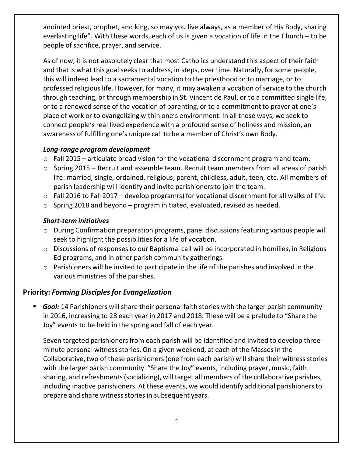anointed priest, prophet, and king, so may you live always, as a member of His Body, sharing everlasting life". With these words, each of us is given a vocation of life in the Church – to be people of sacrifice, prayer, and service.

As of now, it is not absolutely clear that most Catholics understand this aspect of their faith and that is what this goal seeks to address, in steps, over time. Naturally, for some people, this will indeed lead to a sacramental vocation to the priesthood or to marriage, or to professed religious life. However, for many, it may awaken a vocation of service to the church through teaching, or through membership in St. Vincent de Paul, or to a committed single life, or to a renewed sense of the vocation of parenting, or to a commitment to prayer at one's place of work or to evangelizing within one's environment. In all these ways, we seek to connect people'sreal lived experience with a profound sense of holiness and mission, an awareness of fulfilling one's unique call to be a member of Christ's own Body.

#### *Long-range program development*

- o Fall 2015 articulate broad vision for the vocational discernment program and team.
- o Spring 2015 Recruit and assemble team. Recruit team members from all areas of parish life: married, single, ordained, religious, parent, childless, adult, teen, etc. All members of parish leadership will identify and invite parishionersto join the team.
- $\circ$  Fall 2016 to Fall 2017 develop program(s) for vocational discernment for all walks of life.
- $\circ$  Spring 2018 and beyond program initiated, evaluated, revised as needed.

#### *Short-term initiatives*

- o During Confirmation preparation programs, panel discussionsfeaturing various people will seek to highlight the possibilities for a life of vocation.
- o Discussions of responsesto our Baptismal call will be incorporated in homilies, in Religious Ed programs, and in other parish community gatherings.
- $\circ$  Parishioners will be invited to participate in the life of the parishes and involved in the various ministries of the parishes.

#### **Priority:** *Forming Disciplesfor Evangelization*

**Goal:** 14 Parishioners will share their personal faith stories with the larger parish community in 2016, increasing to 28 each year in 2017 and 2018. These will be a prelude to "Share the Joy" events to be held in the spring and fall of each year.

Seven targeted parishioners from each parish will be identified and invited to develop threeminute personal witness stories. On a given weekend, at each of the Massesin the Collaborative,two of these parishioners(one from each parish) will share their witness stories with the larger parish community. "Share the Joy" events, including prayer, music, faith sharing, and refreshments(socializing), will target all members of the collaborative parishes, including inactive parishioners. At these events, we would identify additional parishionersto prepare and share witness stories in subsequent years.